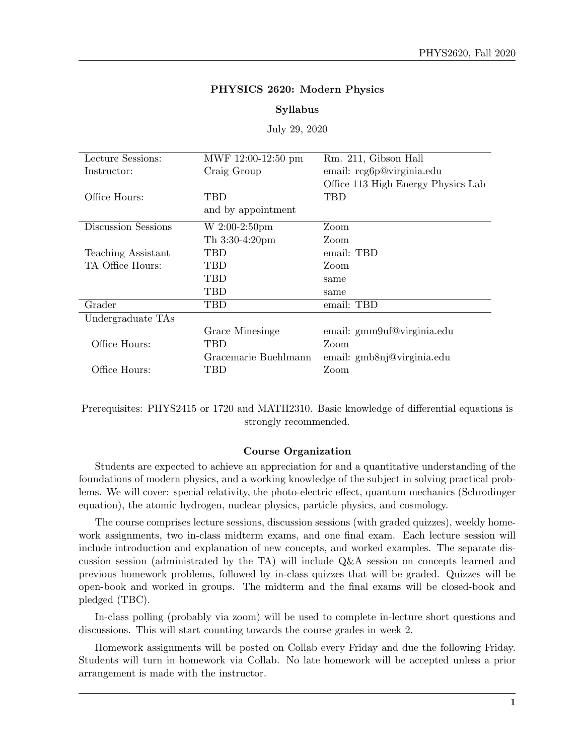# PHYSICS 2620: Modern Physics

#### Syllabus

July 29, 2020

| Lecture Sessions:   | MWF 12:00-12:50 pm   | Rm. 211, Gibson Hall               |
|---------------------|----------------------|------------------------------------|
| Instructor:         | Craig Group          | email: rcg6p@virginia.edu          |
|                     |                      | Office 113 High Energy Physics Lab |
| Office Hours:       | <b>TBD</b>           | TBD                                |
|                     | and by appointment   |                                    |
| Discussion Sessions | W 2:00-2:50pm        | Zoom                               |
|                     | Th 3:30-4:20pm       | Zoom                               |
| Teaching Assistant  | <b>TBD</b>           | email: TBD                         |
| TA Office Hours:    | <b>TBD</b>           | Zoom                               |
|                     | <b>TBD</b>           | same                               |
|                     | <b>TBD</b>           | same                               |
| Grader              | <b>TBD</b>           | email: TBD                         |
| Undergraduate TAs   |                      |                                    |
|                     | Grace Minesinge      | email: gmm9uf@virginia.edu         |
| Office Hours:       | TBD                  | Zoom                               |
|                     | Gracemarie Buehlmann | email: gmb8nj@virginia.edu         |
| Office Hours:       | TBD                  | Zoom                               |

Prerequisites: PHYS2415 or 1720 and MATH2310. Basic knowledge of differential equations is strongly recommended.

#### Course Organization

Students are expected to achieve an appreciation for and a quantitative understanding of the foundations of modern physics, and a working knowledge of the subject in solving practical problems. We will cover: special relativity, the photo-electric effect, quantum mechanics (Schrodinger equation), the atomic hydrogen, nuclear physics, particle physics, and cosmology.

The course comprises lecture sessions, discussion sessions (with graded quizzes), weekly homework assignments, two in-class midterm exams, and one final exam. Each lecture session will include introduction and explanation of new concepts, and worked examples. The separate discussion session (administrated by the TA) will include Q&A session on concepts learned and previous homework problems, followed by in-class quizzes that will be graded. Quizzes will be open-book and worked in groups. The midterm and the final exams will be closed-book and pledged (TBC).

In-class polling (probably via zoom) will be used to complete in-lecture short questions and discussions. This will start counting towards the course grades in week 2.

Homework assignments will be posted on Collab every Friday and due the following Friday. Students will turn in homework via Collab. No late homework will be accepted unless a prior arrangement is made with the instructor.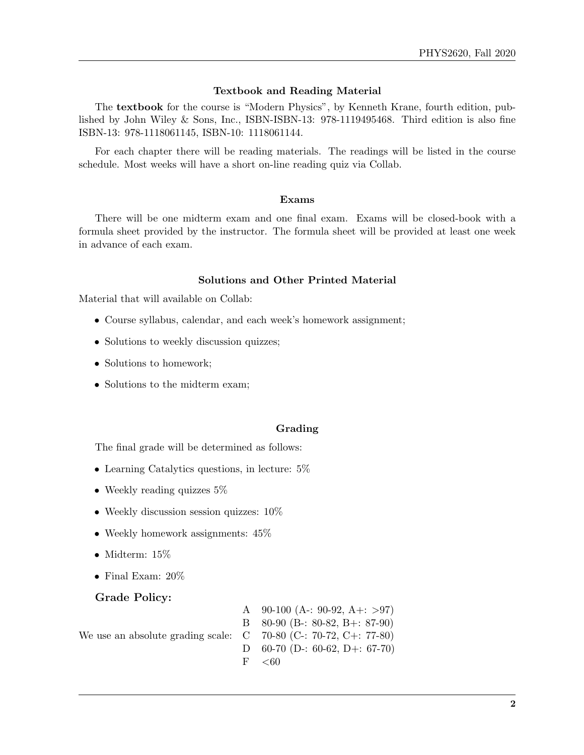### Textbook and Reading Material

The textbook for the course is "Modern Physics", by Kenneth Krane, fourth edition, published by John Wiley & Sons, Inc., ISBN-ISBN-13: 978-1119495468. Third edition is also fine ISBN-13: 978-1118061145, ISBN-10: 1118061144.

For each chapter there will be reading materials. The readings will be listed in the course schedule. Most weeks will have a short on-line reading quiz via Collab.

#### Exams

There will be one midterm exam and one final exam. Exams will be closed-book with a formula sheet provided by the instructor. The formula sheet will be provided at least one week in advance of each exam.

### Solutions and Other Printed Material

Material that will available on Collab:

- Course syllabus, calendar, and each week's homework assignment;
- Solutions to weekly discussion quizzes;
- Solutions to homework;
- Solutions to the midterm exam;

### Grading

The final grade will be determined as follows:

- Learning Catalytics questions, in lecture:  $5\%$
- Weekly reading quizzes 5\%
- Weekly discussion session quizzes:  $10\%$
- Weekly homework assignments:  $45\%$
- Midterm:  $15\%$
- Final Exam: 20%

#### Grade Policy:

We use an absolute grading scale: A  $90-100$  (A-: 90-92, A+: >97) B 80-90 (B-: 80-82, B+: 87-90)  $C$  70-80 (C-: 70-72, C+: 77-80) D 60-70 (D-: 60-62, D+: 67-70)  $F \sim 60$